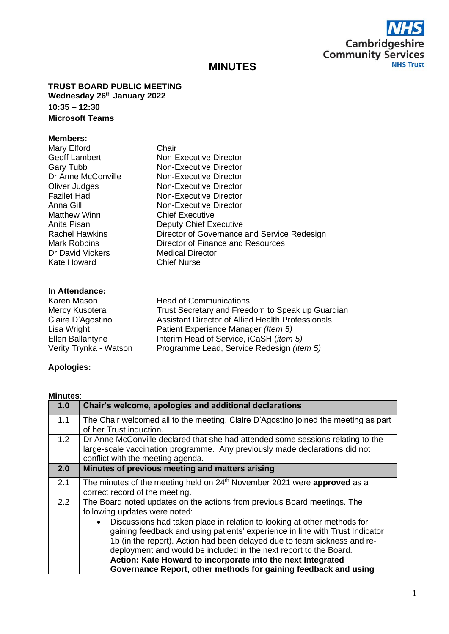

# **MINUTES**

**TRUST BOARD PUBLIC MEETING Wednesday 26th January 2022 10:35 – 12:30 Microsoft Teams**

#### **Members:**

| Mary Elford           | Chair                                       |
|-----------------------|---------------------------------------------|
| <b>Geoff Lambert</b>  | Non-Executive Director                      |
| Gary Tubb             | Non-Executive Director                      |
| Dr Anne McConville    | Non-Executive Director                      |
| Oliver Judges         | Non-Executive Director                      |
| <b>Fazilet Hadi</b>   | Non-Executive Director                      |
| Anna Gill             | Non-Executive Director                      |
| Matthew Winn          | <b>Chief Executive</b>                      |
| Anita Pisani          | <b>Deputy Chief Executive</b>               |
| <b>Rachel Hawkins</b> | Director of Governance and Service Redesign |
| <b>Mark Robbins</b>   | Director of Finance and Resources           |
| Dr David Vickers      | <b>Medical Director</b>                     |
| Kate Howard           | <b>Chief Nurse</b>                          |
|                       |                                             |

### **In Attendance:**

| <b>Head of Communications</b>                      |
|----------------------------------------------------|
| Trust Secretary and Freedom to Speak up Guardian   |
| Assistant Director of Allied Health Professionals  |
| Patient Experience Manager (Item 5)                |
| Interim Head of Service, iCaSH ( <i>item 5</i> )   |
| Programme Lead, Service Redesign ( <i>item 5</i> ) |
|                                                    |

## **Apologies:**

#### **Minutes**:

| The Chair welcomed all to the meeting. Claire D'Agostino joined the meeting as part<br>of her Trust induction.<br>Dr Anne McConville declared that she had attended some sessions relating to the<br>large-scale vaccination programme. Any previously made declarations did not                                                                                                                                                           |
|--------------------------------------------------------------------------------------------------------------------------------------------------------------------------------------------------------------------------------------------------------------------------------------------------------------------------------------------------------------------------------------------------------------------------------------------|
|                                                                                                                                                                                                                                                                                                                                                                                                                                            |
| conflict with the meeting agenda.                                                                                                                                                                                                                                                                                                                                                                                                          |
| Minutes of previous meeting and matters arising                                                                                                                                                                                                                                                                                                                                                                                            |
| The minutes of the meeting held on 24 <sup>th</sup> November 2021 were approved as a<br>correct record of the meeting.                                                                                                                                                                                                                                                                                                                     |
| The Board noted updates on the actions from previous Board meetings. The<br>following updates were noted:                                                                                                                                                                                                                                                                                                                                  |
| Discussions had taken place in relation to looking at other methods for<br>gaining feedback and using patients' experience in line with Trust Indicator<br>1b (in the report). Action had been delayed due to team sickness and re-<br>deployment and would be included in the next report to the Board.<br>Action: Kate Howard to incorporate into the next Integrated<br>Governance Report, other methods for gaining feedback and using |
|                                                                                                                                                                                                                                                                                                                                                                                                                                            |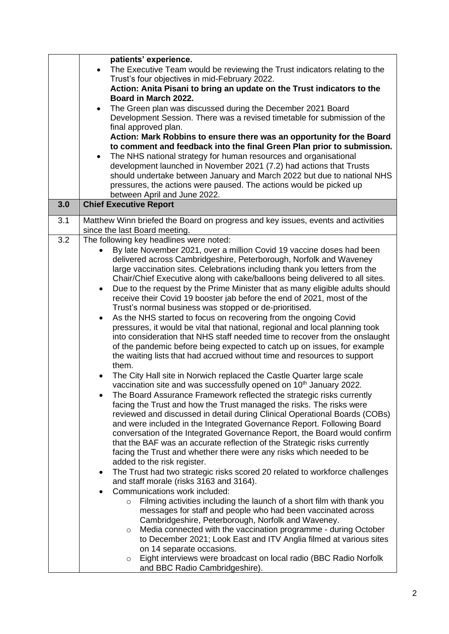|     | patients' experience.                                                                                                                           |
|-----|-------------------------------------------------------------------------------------------------------------------------------------------------|
|     | The Executive Team would be reviewing the Trust indicators relating to the<br>$\bullet$                                                         |
|     | Trust's four objectives in mid-February 2022.                                                                                                   |
|     | Action: Anita Pisani to bring an update on the Trust indicators to the                                                                          |
|     | Board in March 2022.                                                                                                                            |
|     | The Green plan was discussed during the December 2021 Board                                                                                     |
|     | Development Session. There was a revised timetable for submission of the                                                                        |
|     | final approved plan.                                                                                                                            |
|     | Action: Mark Robbins to ensure there was an opportunity for the Board<br>to comment and feedback into the final Green Plan prior to submission. |
|     | The NHS national strategy for human resources and organisational<br>$\bullet$                                                                   |
|     | development launched in November 2021 (7.2) had actions that Trusts                                                                             |
|     | should undertake between January and March 2022 but due to national NHS                                                                         |
|     | pressures, the actions were paused. The actions would be picked up                                                                              |
|     | between April and June 2022.                                                                                                                    |
| 3.0 | <b>Chief Executive Report</b>                                                                                                                   |
| 3.1 | Matthew Winn briefed the Board on progress and key issues, events and activities                                                                |
|     | since the last Board meeting.                                                                                                                   |
| 3.2 | The following key headlines were noted:                                                                                                         |
|     | By late November 2021, over a million Covid 19 vaccine doses had been                                                                           |
|     | delivered across Cambridgeshire, Peterborough, Norfolk and Waveney                                                                              |
|     | large vaccination sites. Celebrations including thank you letters from the                                                                      |
|     | Chair/Chief Executive along with cake/balloons being delivered to all sites.                                                                    |
|     | Due to the request by the Prime Minister that as many eligible adults should<br>$\bullet$                                                       |
|     | receive their Covid 19 booster jab before the end of 2021, most of the                                                                          |
|     | Trust's normal business was stopped or de-prioritised.                                                                                          |
|     | As the NHS started to focus on recovering from the ongoing Covid<br>$\bullet$                                                                   |
|     | pressures, it would be vital that national, regional and local planning took                                                                    |
|     | into consideration that NHS staff needed time to recover from the onslaught                                                                     |
|     | of the pandemic before being expected to catch up on issues, for example                                                                        |
|     | the waiting lists that had accrued without time and resources to support<br>them.                                                               |
|     | The City Hall site in Norwich replaced the Castle Quarter large scale                                                                           |
|     | vaccination site and was successfully opened on 10 <sup>th</sup> January 2022.                                                                  |
|     | The Board Assurance Framework reflected the strategic risks currently                                                                           |
|     | facing the Trust and how the Trust managed the risks. The risks were                                                                            |
|     | reviewed and discussed in detail during Clinical Operational Boards (COBs)                                                                      |
|     | and were included in the Integrated Governance Report. Following Board                                                                          |
|     | conversation of the Integrated Governance Report, the Board would confirm                                                                       |
|     | that the BAF was an accurate reflection of the Strategic risks currently                                                                        |
|     | facing the Trust and whether there were any risks which needed to be                                                                            |
|     | added to the risk register.                                                                                                                     |
|     | The Trust had two strategic risks scored 20 related to workforce challenges<br>$\bullet$                                                        |
|     | and staff morale (risks 3163 and 3164).                                                                                                         |
|     | Communications work included:                                                                                                                   |
|     | Filming activities including the launch of a short film with thank you<br>$\circ$                                                               |
|     | messages for staff and people who had been vaccinated across                                                                                    |
|     | Cambridgeshire, Peterborough, Norfolk and Waveney.                                                                                              |
|     | Media connected with the vaccination programme - during October<br>$\circ$                                                                      |
|     | to December 2021; Look East and ITV Anglia filmed at various sites                                                                              |
|     | on 14 separate occasions.<br>Eight interviews were broadcast on local radio (BBC Radio Norfolk                                                  |
|     | $\circ$<br>and BBC Radio Cambridgeshire).                                                                                                       |
|     |                                                                                                                                                 |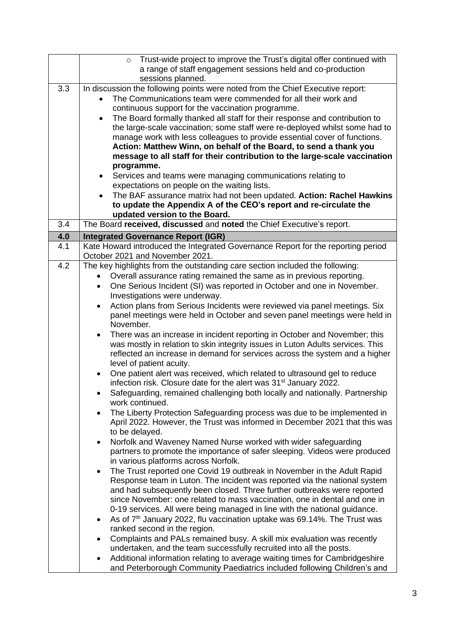|     | Trust-wide project to improve the Trust's digital offer continued with<br>$\circ$                 |
|-----|---------------------------------------------------------------------------------------------------|
|     | a range of staff engagement sessions held and co-production                                       |
|     | sessions planned.                                                                                 |
| 3.3 | In discussion the following points were noted from the Chief Executive report:                    |
|     | The Communications team were commended for all their work and                                     |
|     | continuous support for the vaccination programme.                                                 |
|     | The Board formally thanked all staff for their response and contribution to<br>$\bullet$          |
|     | the large-scale vaccination; some staff were re-deployed whilst some had to                       |
|     | manage work with less colleagues to provide essential cover of functions.                         |
|     | Action: Matthew Winn, on behalf of the Board, to send a thank you                                 |
|     |                                                                                                   |
|     | message to all staff for their contribution to the large-scale vaccination                        |
|     | programme.                                                                                        |
|     | Services and teams were managing communications relating to<br>٠                                  |
|     | expectations on people on the waiting lists.                                                      |
|     | The BAF assurance matrix had not been updated. Action: Rachel Hawkins                             |
|     | to update the Appendix A of the CEO's report and re-circulate the                                 |
|     | updated version to the Board.                                                                     |
| 3.4 | The Board received, discussed and noted the Chief Executive's report.                             |
| 4.0 | <b>Integrated Governance Report (IGR)</b>                                                         |
| 4.1 | Kate Howard introduced the Integrated Governance Report for the reporting period                  |
|     | October 2021 and November 2021.                                                                   |
| 4.2 | The key highlights from the outstanding care section included the following:                      |
|     | Overall assurance rating remained the same as in previous reporting.                              |
|     | One Serious Incident (SI) was reported in October and one in November.<br>$\bullet$               |
|     | Investigations were underway.                                                                     |
|     |                                                                                                   |
|     | Action plans from Serious Incidents were reviewed via panel meetings. Six                         |
|     | panel meetings were held in October and seven panel meetings were held in                         |
|     | November.                                                                                         |
|     | There was an increase in incident reporting in October and November; this<br>$\bullet$            |
|     | was mostly in relation to skin integrity issues in Luton Adults services. This                    |
|     | reflected an increase in demand for services across the system and a higher                       |
|     | level of patient acuity.                                                                          |
|     | One patient alert was received, which related to ultrasound gel to reduce                         |
|     | infection risk. Closure date for the alert was 31 <sup>st</sup> January 2022.                     |
|     | Safeguarding, remained challenging both locally and nationally. Partnership                       |
|     | work continued.                                                                                   |
|     | The Liberty Protection Safeguarding process was due to be implemented in<br>$\bullet$             |
|     | April 2022. However, the Trust was informed in December 2021 that this was                        |
|     | to be delayed.                                                                                    |
|     | Norfolk and Waveney Named Nurse worked with wider safeguarding<br>$\bullet$                       |
|     | partners to promote the importance of safer sleeping. Videos were produced                        |
|     | in various platforms across Norfolk.                                                              |
|     | The Trust reported one Covid 19 outbreak in November in the Adult Rapid                           |
|     | $\bullet$                                                                                         |
|     | Response team in Luton. The incident was reported via the national system                         |
|     | and had subsequently been closed. Three further outbreaks were reported                           |
|     | since November: one related to mass vaccination, one in dental and one in                         |
|     | 0-19 services. All were being managed in line with the national guidance.                         |
|     | As of 7 <sup>th</sup> January 2022, flu vaccination uptake was 69.14%. The Trust was<br>$\bullet$ |
|     | ranked second in the region.                                                                      |
|     | Complaints and PALs remained busy. A skill mix evaluation was recently<br>$\bullet$               |
|     | undertaken, and the team successfully recruited into all the posts.                               |
|     | Additional information relating to average waiting times for Cambridgeshire<br>$\bullet$          |
|     | and Peterborough Community Paediatrics included following Children's and                          |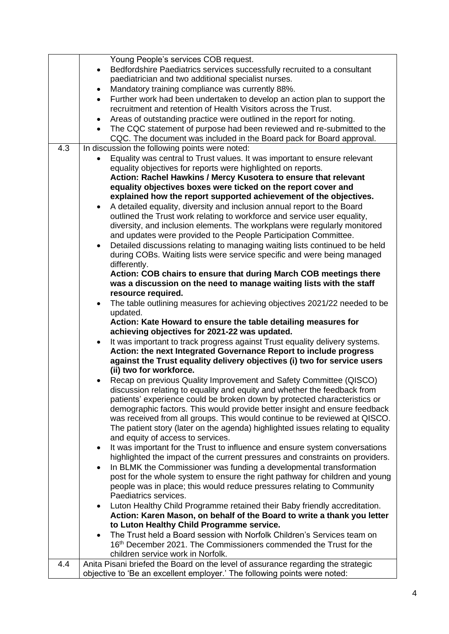|     | Young People's services COB request.                                                      |
|-----|-------------------------------------------------------------------------------------------|
|     | Bedfordshire Paediatrics services successfully recruited to a consultant<br>$\bullet$     |
|     | paediatrician and two additional specialist nurses.                                       |
|     | Mandatory training compliance was currently 88%.<br>$\bullet$                             |
|     | Further work had been undertaken to develop an action plan to support the<br>$\bullet$    |
|     | recruitment and retention of Health Visitors across the Trust.                            |
|     | Areas of outstanding practice were outlined in the report for noting.                     |
|     | The CQC statement of purpose had been reviewed and re-submitted to the                    |
|     | CQC. The document was included in the Board pack for Board approval.                      |
| 4.3 | In discussion the following points were noted:                                            |
|     | Equality was central to Trust values. It was important to ensure relevant                 |
|     | equality objectives for reports were highlighted on reports.                              |
|     | Action: Rachel Hawkins / Mercy Kusotera to ensure that relevant                           |
|     | equality objectives boxes were ticked on the report cover and                             |
|     | explained how the report supported achievement of the objectives.                         |
|     | A detailed equality, diversity and inclusion annual report to the Board<br>$\bullet$      |
|     | outlined the Trust work relating to workforce and service user equality,                  |
|     | diversity, and inclusion elements. The workplans were regularly monitored                 |
|     | and updates were provided to the People Participation Committee.                          |
|     | Detailed discussions relating to managing waiting lists continued to be held<br>$\bullet$ |
|     | during COBs. Waiting lists were service specific and were being managed                   |
|     | differently.                                                                              |
|     | Action: COB chairs to ensure that during March COB meetings there                         |
|     | was a discussion on the need to manage waiting lists with the staff                       |
|     | resource required.                                                                        |
|     | The table outlining measures for achieving objectives 2021/22 needed to be                |
|     | updated.<br>Action: Kate Howard to ensure the table detailing measures for                |
|     | achieving objectives for 2021-22 was updated.                                             |
|     | It was important to track progress against Trust equality delivery systems.<br>$\bullet$  |
|     | Action: the next Integrated Governance Report to include progress                         |
|     | against the Trust equality delivery objectives (i) two for service users                  |
|     | (ii) two for workforce.                                                                   |
|     | Recap on previous Quality Improvement and Safety Committee (QISCO)                        |
|     | discussion relating to equality and equity and whether the feedback from                  |
|     | patients' experience could be broken down by protected characteristics or                 |
|     | demographic factors. This would provide better insight and ensure feedback                |
|     | was received from all groups. This would continue to be reviewed at QISCO.                |
|     | The patient story (later on the agenda) highlighted issues relating to equality           |
|     | and equity of access to services.                                                         |
|     | It was important for the Trust to influence and ensure system conversations               |
|     | highlighted the impact of the current pressures and constraints on providers.             |
|     | In BLMK the Commissioner was funding a developmental transformation<br>$\bullet$          |
|     | post for the whole system to ensure the right pathway for children and young              |
|     | people was in place; this would reduce pressures relating to Community                    |
|     | Paediatrics services.                                                                     |
|     | Luton Healthy Child Programme retained their Baby friendly accreditation.                 |
|     | Action: Karen Mason, on behalf of the Board to write a thank you letter                   |
|     | to Luton Healthy Child Programme service.                                                 |
|     | The Trust held a Board session with Norfolk Children's Services team on                   |
|     | 16th December 2021. The Commissioners commended the Trust for the                         |
|     | children service work in Norfolk.                                                         |
| 4.4 | Anita Pisani briefed the Board on the level of assurance regarding the strategic          |
|     | objective to 'Be an excellent employer.' The following points were noted:                 |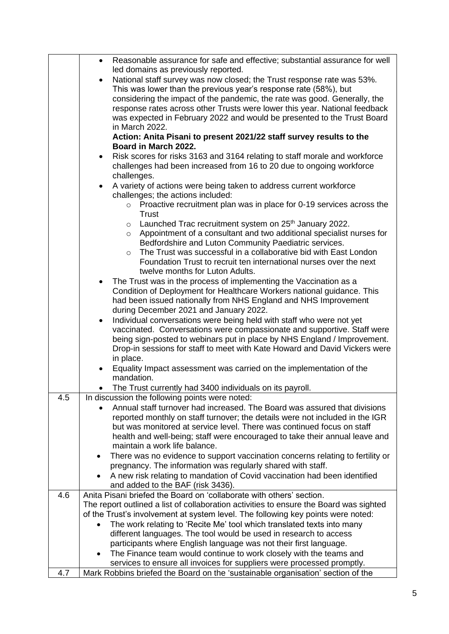|     | Reasonable assurance for safe and effective; substantial assurance for well<br>$\bullet$                                                                  |
|-----|-----------------------------------------------------------------------------------------------------------------------------------------------------------|
|     | led domains as previously reported.                                                                                                                       |
|     | National staff survey was now closed; the Trust response rate was 53%.<br>$\bullet$                                                                       |
|     | This was lower than the previous year's response rate (58%), but                                                                                          |
|     | considering the impact of the pandemic, the rate was good. Generally, the                                                                                 |
|     | response rates across other Trusts were lower this year. National feedback<br>was expected in February 2022 and would be presented to the Trust Board     |
|     | in March 2022.                                                                                                                                            |
|     | Action: Anita Pisani to present 2021/22 staff survey results to the                                                                                       |
|     | Board in March 2022.                                                                                                                                      |
|     | Risk scores for risks 3163 and 3164 relating to staff morale and workforce<br>$\bullet$                                                                   |
|     | challenges had been increased from 16 to 20 due to ongoing workforce                                                                                      |
|     | challenges.                                                                                                                                               |
|     | A variety of actions were being taken to address current workforce<br>$\bullet$                                                                           |
|     | challenges; the actions included:                                                                                                                         |
|     | $\circ$ Proactive recruitment plan was in place for 0-19 services across the                                                                              |
|     | <b>Trust</b>                                                                                                                                              |
|     | $\circ$ Launched Trac recruitment system on 25 <sup>th</sup> January 2022.                                                                                |
|     | Appointment of a consultant and two additional specialist nurses for<br>$\circ$                                                                           |
|     | Bedfordshire and Luton Community Paediatric services.                                                                                                     |
|     | The Trust was successful in a collaborative bid with East London<br>$\circ$                                                                               |
|     | Foundation Trust to recruit ten international nurses over the next<br>twelve months for Luton Adults.                                                     |
|     | The Trust was in the process of implementing the Vaccination as a<br>$\bullet$                                                                            |
|     | Condition of Deployment for Healthcare Workers national guidance. This                                                                                    |
|     | had been issued nationally from NHS England and NHS Improvement                                                                                           |
|     | during December 2021 and January 2022.                                                                                                                    |
|     | Individual conversations were being held with staff who were not yet<br>$\bullet$                                                                         |
|     | vaccinated. Conversations were compassionate and supportive. Staff were                                                                                   |
|     | being sign-posted to webinars put in place by NHS England / Improvement.                                                                                  |
|     | Drop-in sessions for staff to meet with Kate Howard and David Vickers were                                                                                |
|     | in place.                                                                                                                                                 |
|     | Equality Impact assessment was carried on the implementation of the                                                                                       |
|     | mandation.                                                                                                                                                |
|     | The Trust currently had 3400 individuals on its payroll.                                                                                                  |
| 4.5 | In discussion the following points were noted:                                                                                                            |
|     | Annual staff turnover had increased. The Board was assured that divisions<br>reported monthly on staff turnover; the details were not included in the IGR |
|     | but was monitored at service level. There was continued focus on staff                                                                                    |
|     | health and well-being; staff were encouraged to take their annual leave and                                                                               |
|     | maintain a work life balance.                                                                                                                             |
|     | There was no evidence to support vaccination concerns relating to fertility or                                                                            |
|     | pregnancy. The information was regularly shared with staff.                                                                                               |
|     | A new risk relating to mandation of Covid vaccination had been identified                                                                                 |
|     | and added to the BAF (risk 3436).                                                                                                                         |
| 4.6 | Anita Pisani briefed the Board on 'collaborate with others' section.                                                                                      |
|     | The report outlined a list of collaboration activities to ensure the Board was sighted                                                                    |
|     | of the Trust's involvement at system level. The following key points were noted:                                                                          |
|     | The work relating to 'Recite Me' tool which translated texts into many                                                                                    |
|     | different languages. The tool would be used in research to access                                                                                         |
|     | participants where English language was not their first language.                                                                                         |
|     | The Finance team would continue to work closely with the teams and                                                                                        |
| 4.7 | services to ensure all invoices for suppliers were processed promptly.<br>Mark Robbins briefed the Board on the 'sustainable organisation' section of the |
|     |                                                                                                                                                           |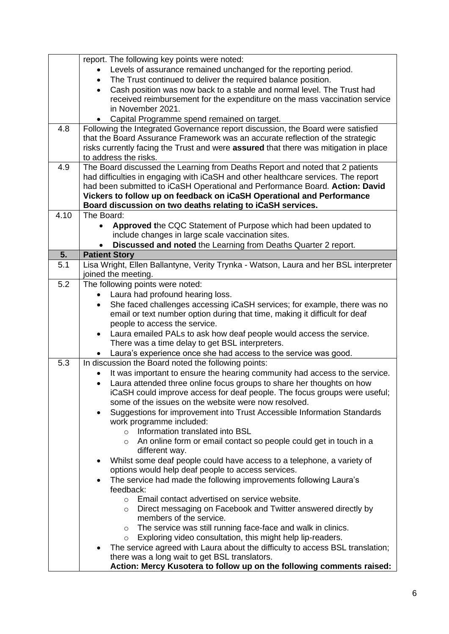|      | report. The following key points were noted:                                                |
|------|---------------------------------------------------------------------------------------------|
|      | Levels of assurance remained unchanged for the reporting period.                            |
|      | The Trust continued to deliver the required balance position.                               |
|      | Cash position was now back to a stable and normal level. The Trust had<br>$\bullet$         |
|      | received reimbursement for the expenditure on the mass vaccination service                  |
|      | in November 2021.                                                                           |
|      | Capital Programme spend remained on target.<br>$\bullet$                                    |
| 4.8  | Following the Integrated Governance report discussion, the Board were satisfied             |
|      | that the Board Assurance Framework was an accurate reflection of the strategic              |
|      | risks currently facing the Trust and were <b>assured</b> that there was mitigation in place |
|      | to address the risks.                                                                       |
| 4.9  | The Board discussed the Learning from Deaths Report and noted that 2 patients               |
|      | had difficulties in engaging with iCaSH and other healthcare services. The report           |
|      | had been submitted to iCaSH Operational and Performance Board. Action: David                |
|      |                                                                                             |
|      | Vickers to follow up on feedback on iCaSH Operational and Performance                       |
| 4.10 | Board discussion on two deaths relating to iCaSH services.<br>The Board:                    |
|      |                                                                                             |
|      | Approved the CQC Statement of Purpose which had been updated to                             |
|      | include changes in large scale vaccination sites.                                           |
|      | Discussed and noted the Learning from Deaths Quarter 2 report.<br>$\bullet$                 |
| 5.   | <b>Patient Story</b>                                                                        |
| 5.1  | Lisa Wright, Ellen Ballantyne, Verity Trynka - Watson, Laura and her BSL interpreter        |
|      | joined the meeting.                                                                         |
| 5.2  | The following points were noted:                                                            |
|      | Laura had profound hearing loss.                                                            |
|      | She faced challenges accessing iCaSH services; for example, there was no<br>$\bullet$       |
|      | email or text number option during that time, making it difficult for deaf                  |
|      | people to access the service.                                                               |
|      | Laura emailed PALs to ask how deaf people would access the service.<br>$\bullet$            |
|      | There was a time delay to get BSL interpreters.                                             |
|      | Laura's experience once she had access to the service was good.                             |
| 5.3  | In discussion the Board noted the following points:                                         |
|      | It was important to ensure the hearing community had access to the service.                 |
|      | Laura attended three online focus groups to share her thoughts on how                       |
|      | iCaSH could improve access for deaf people. The focus groups were useful;                   |
|      | some of the issues on the website were now resolved.                                        |
|      |                                                                                             |
|      | Suggestions for improvement into Trust Accessible Information Standards<br>$\bullet$        |
|      | work programme included:                                                                    |
|      | Information translated into BSL<br>$\circ$                                                  |
|      | An online form or email contact so people could get in touch in a<br>$\circ$                |
|      | different way.                                                                              |
|      | Whilst some deaf people could have access to a telephone, a variety of                      |
|      | options would help deaf people to access services.                                          |
|      | The service had made the following improvements following Laura's<br>$\bullet$              |
|      | feedback:                                                                                   |
|      | Email contact advertised on service website.<br>$\circ$                                     |
|      | Direct messaging on Facebook and Twitter answered directly by<br>$\circ$                    |
|      | members of the service.                                                                     |
|      | The service was still running face-face and walk in clinics.<br>$\circ$                     |
|      | Exploring video consultation, this might help lip-readers.<br>$\circ$                       |
|      | The service agreed with Laura about the difficulty to access BSL translation;               |
|      | there was a long wait to get BSL translators.                                               |
|      | Action: Mercy Kusotera to follow up on the following comments raised:                       |